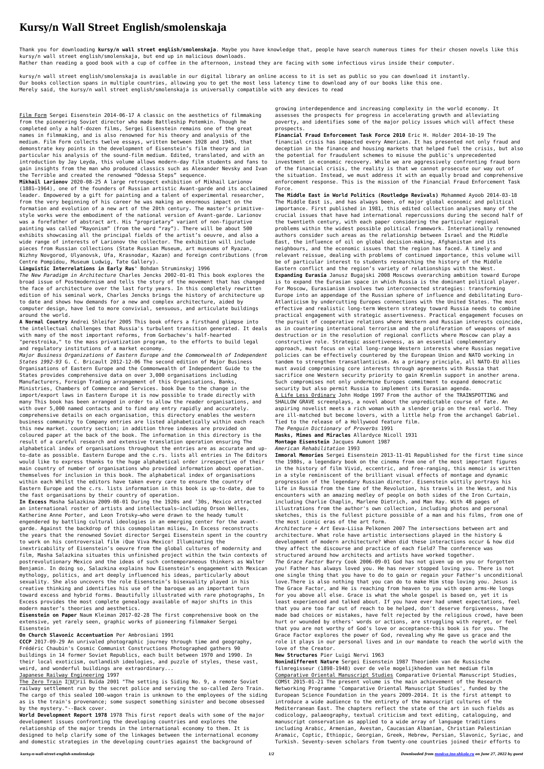# **Kursy/n Wall Street English/smolenskaja**

Thank you for downloading **kursy/n wall street english/smolenskaja**. Maybe you have knowledge that, people have search numerous times for their chosen novels like this kursy/n wall street english/smolenskaja, but end up in malicious downloads.

Rather than reading a good book with a cup of coffee in the afternoon, instead they are facing with some infectious virus inside their computer.

kursy/n wall street english/smolenskaja is available in our digital library an online access to it is set as public so you can download it instantly. Our books collection spans in multiple countries, allowing you to get the most less latency time to download any of our books like this one. Merely said, the kursy/n wall street english/smolenskaja is universally compatible with any devices to read

Film Form Sergei Eisenstein 2014-06-17 A classic on the aesthetics of filmmaking from the pioneering Soviet director who made Battleship Potemkin. Though he completed only a half-dozen films, Sergei Eisenstein remains one of the great names in filmmaking, and is also renowned for his theory and analysis of the medium. Film Form collects twelve essays, written between 1928 and 1945, that demonstrate key points in the development of Eisenstein's film theory and in particular his analysis of the sound-film medium. Edited, translated, and with an introduction by Jay Leyda, this volume allows modern-day film students and fans to gain insights from the man who produced classics such as Alexander Nevsky and Ivan the Terrible and created the renowned "Odessa Steps" sequence.

**Mikhail Larionov** 2020-08-25 A large retrospect exhibition of Mikhail Larionov (1881–1964), one of the founders of Russian artistic Avant-garde and its acclaimed leader. Empowered by a gift for painting and a talent of experimental researcher, from the very beginning of his career he was making an enormous impact on the formation and evolution of a new art of the 20th century. The master's primitivestyle works were the embodiment of the national version of Avant-garde. Larionov was a forefather of abstract art. His "proprietary" variant of non-figurative painting was called "Rayonism" (from the word "ray"). There will be about 500 exhibits showcasing all the principal fields of the artist's oeuvre, and also a wide range of interests of Larionov the collector. The exhibition will include pieces from Russian collections (State Russian Museum, art museums of Ryazan, Nizhny Novgorod, Ulyanovsk, Ufa, Krasnodar, Kazan) and foreign contributions (from Centre Pompidou, Museum Ludwig, Tate Gallery).

**Linguistic Interrelations in Early Rus'** Bohdan Struminskyj 1996 *The New Paradigm in Architecture* Charles Jencks 2002-01-01 This book explores the broad issue of Postmodernism and tells the story of the movement that has changed

the face of architecture over the last forty years. In this completely rewritten edition of his seminal work, Charles Jencks brings the history of architecture up to date and shows how demands for a new and complex architecture, aided by computer design, have led to more convivial, sensuous, and articulate buildings around the world.

**A Normal Country** Andrei Shleifer 2005 This book offers a firsthand glimpse into the intellectual challenges that Russia's turbulent transition generated. It deals with many of the most important reforms, from Gorbachev's half-hearted "perestroika," to the mass privatization program, to the efforts to build legal and regulatory institutions of a market economy.

The Zero Train I∏U∏riĭ Buĭda 2001 "The setting is Siding No. 9, a remote Soviet railway settlement run by the secret police and serving the so-called Zero Train. The cargo of this sealed 100-wagon train is unknown to the employees of the siding as is the train's provenance; some suspect something sinister and become obsessed by the mystery."--Back cover.

*Major Business Organizations of Eastern Europe and the Commonwealth of Independent States 1992-93* G. C. Bricault 2012-12-06 The second edition of Major Business Organisations of Eastern Europe and the Commonwealth of Independent Guide to the States provides comprehensive data on over 3,000 organisations including Manufacturers, Foreign Trading arrangement of this Organisations, Banks, Ministries, Chambers of Commerce and Services. book Due to the change in the import/export laws in Eastern Europe it is now possible to trade directly with many This book has been arranged in order to allow the reader organisations, and with over 5,000 named contacts and to find any entry rapidly and accurately. comprehensive details on each organisation, this directory enables the western business community to Company entries are listed alphabetically within each reach this new market. country section; in addition three indexes are provided on coloured paper at the back of the book. The information in this directory is the result of a careful research and extensive translation operation ensuring The alphabetical index of organisations throughout the entries are as accurate and upto-date as possible. Eastern Europe and the c.rs. lists all entries in The Editors would like to express thanks to the huge alphabetical order irrespective of their main country of number of organisations who provided information about operation. themselves for inclusion in this book. The alphabetical index of organisations within each Whilst the editors have taken every care to ensure the country of Eastern Europe and the c.rs. lists information in this book is up-to-date, due to the fast organisations by their country of operation. **In Excess** Masha Salazkina 2009-08-01 During the 1920s and '30s, Mexico attracted an international roster of artists and intellectuals—including Orson Welles, Katherine Anne Porter, and Leon Trotsky—who were drawn to the heady tumult engendered by battling cultural ideologies in an emerging center for the avantgarde. Against the backdrop of this cosmopolitan milieu, In Excess reconstructs the years that the renowned Soviet director Sergei Eisenstein spent in the country to work on his controversial film ¡Que Viva Mexico! Illuminating the inextricability of Eisenstein's oeuvre from the global cultures of modernity and film, Masha Salazkina situates this unfinished project within the twin contexts of postrevolutionary Mexico and the ideas of such contemporaneous thinkers as Walter Benjamin. In doing so, Salazkina explains how Eisenstein's engagement with Mexican mythology, politics, and art deeply influenced his ideas, particularly about sexuality. She also uncovers the role Eisenstein's bisexuality played in his creative thinking and identifies his use of the baroque as an important turn toward excess and hybrid forms. Beautifully illustrated with rare photographs, In Excess provides the most complete genealogy available of major shifts in this modern master's theories and aesthetics.

**Eisenstein on Paper** Naum Kleiman 2017-02-28 The first comprehensive book on the extensive, yet rarely seen, graphic works of pioneering filmmaker Sergei Eisenstein

#### **On Church Slavonic Accentuation** Per Ambrosiani 1991

**CCCP** 2017-09-29 An unrivaled photographic journey through time and geography, Frédéric Chaubin's Cosmic Communist Constructions Photographed gathers 90 buildings in 14 former Soviet Republics, each built between 1970 and 1990. In their local exoticism, outlandish ideologies, and puzzle of styles, these vast, weird, and wonderful buildings are extraordinary...

#### Japanese Railway Engineering 1997

**World Development Report 1978** 1978 This first report deals with some of the major development issues confronting the developing countries and explores the relationship of the major trends in the international economy to them. It is designed to help clarify some of the linkages between the international economy and domestic strategies in the developing countries against the background of

growing interdependence and increasing complexity in the world economy. It assesses the prospects for progress in accelerating growth and alleviating poverty, and identifies some of the major policy issues which will affect these prospects.

**Financial Fraud Enforcement Task Force 2010** Eric H. Holder 2014-10-19 The financial crisis has impacted every American. It has presented not only fraud and deception in the finance and housing markets that helped fuel the crisis, but also the potential for fraudulent schemes to misuse the public's unprecedented investment in economic recovery. While we are aggressively confronting fraud born of the financial crisis, the reality is that we cannot prosecute our way out of the situation. Instead, we must address it with an equally broad and comprehensive enforcement response. This is the mission of the Financial Fraud Enforcement Task Force.

**The Middle East in World Politics (Routledge Revivals)** Mohammed Ayoob 2014-03-18 The Middle East is, and has always been, of major global economic and political importance. First published in 1981, this edited collection analyses many of the crucial issues that have had international repercussions during the second half of the twentieth century, with each paper considering the particular regional problems within the widest possible political framework. Internationally renowned authors consider such areas as the relationship between Israel and the Middle East, the influence of oil on global decision-making, Afghanistan and its neighbours, and the economic issues that the region has faced. A timely and relevant reissue, dealing with problems of continued importance, this volume will be of particular interest to students researching the history of the Middle Eastern conflict and the region's variety of relationships with the West. **Expanding Eurasia** Janusz Bugajski 2008 Moscows overarching ambition toward Europe is to expand the Eurasian space in which Russia is the dominant political player. For Moscow, Eurasianism involves two interconnected strategies: transforming Europe into an appendage of the Russian sphere of influence and debilitating Euro-Atlanticism by undercutting Europes connections with the United States. The most effective and realistic long-term Western strategy toward Russia needs to combine practical engagement with strategic assertiveness. Practical engagement focuses on the pursuit of cooperative relations where Western and Russian interests coincide, as in countering international terrorism and the proliferation of weapons of mass destruction or in the resolution of regional conflicts where Moscow can play a constructive role. Strategic assertiveness, as an essential complementary approach, must focus on vital long-range Western interests where Russias negative policies can be effectively countered by the European Union and NATO working in tandem to strengthen transatlanticism. As a primary principle, all NATO-EU allies must avoid compromising core interests through agreements with Russia that sacrifice one Western security priority to gain Kremlin support in another arena. Such compromises not only undermine Europes commitment to expand democratic security but also permit Russia to implement its Eurasian agenda. A Life Less Ordinary John Hodge 1997 From the author of the TRAINSPOTTING and SHALLOW GRAVE screenplays, a novel about the unpredictable course of fate. An aspiring novelist meets a rich woman with a slender grip on the real world. They

are ill-matched but become lovers, with a little help from the archangel Gabriel. Tied to the release of a Hollywood feature film.

*The Penguin Dictionary of Proverbs* 1991

**Masks, Mimes and Miracles** Allardyce Nicoll 1931

**Montage Eisenstein** Jacques Aumont 1987

*American Rehabilitation* 1993

**Immoral Memories** Sergei Eisenstein 2013-11-01 Republished for the first time since the 1980s, a legendary book on the cinema from one of the most important figures in the history of film Vivid, eccentric, and free-ranging, this memoir is written in a style reminiscent of the brilliant visual effects of montage and dynamic progression of the legendary Russian director. Eisenstein wittily portrays his life in Russia from the time of the Revolution, his travels in the West, and his encounters with an amazing medley of people on both sides of the Iron Curtain, including Charlie Chaplin, Marlene Dietrich, and Man Ray. With 48 pages of illustrations from the author's own collection, including photos and personal sketches, this is the fullest picture possible of a man and his films, from one of the most iconic eras of the art form.

*Architecture + Art* Eeva-Liisa Pelkonen 2007 The intersections between art and architecture. What role have artistic intersections played in the history & development of modern architecture? When did these interactions occur & how did they affect the discourse and practice of each field? The conference was structured around how architects and artists have worked together.

*The Grace Factor* Barry Cook 2006-09-01 God has not given up on you or forgotten you! Father has always loved you. He has never stopped loving you. There is not one single thing that you have to do to gain or regain your Father's unconditional love.There is also nothing that you can do to make Him stop loving you. Jesus is The Grace Factor, and He is reaching from heaven to you with open arms-He longs for you above all else. Grace is what the whole gospel is based on, yet it is least experienced and talked about. If you have ever had unmet expectations, feel that you are too far out of reach to be helped, don't deserve forgiveness, have made bad choices or mistakes, have felt rejected by the religious crowd, have been hurt or wounded by others' words or actions, are struggling with regret, or feel that you are not worthy of God's love or acceptance-this book is for you. The Grace Factor explores the power of God, revealing why He gave us grace and the role it plays in our personal lives and in our mandate to reach the world with the love of the Creator.

#### **New Structures** Pier Luigi Nervi 1963

**Nonindifferent Nature** Sergei Eisenstein 1987 Theorieën van de Russische filmregisseur (1898-1948) over de vele mogelijkheden van het medium film Comparative Oriental Manuscript Studies Comparative Oriental Manuscript Studies, COMSt 2015-01-21 The present volume is the main achievement of the Research Networking Programme 'Comparative Oriental Manuscript Studies', funded by the European Science Foundation in the years 2009-2014. It is the first attempt to introduce a wide audience to the entirety of the manuscript cultures of the Mediterranean East. The chapters reflect the state of the art in such fields as codicology, palaeography, textual criticism and text editing, cataloguing, and manuscript conservation as applied to a wide array of language traditions including Arabic, Armenian, Avestan, Caucasian Albanian, Christian Palestinian Aramaic, Coptic, Ethiopic, Georgian, Greek, Hebrew, Persian, Slavonic, Syriac, and Turkish. Seventy-seven scholars from twenty-one countries joined their efforts to